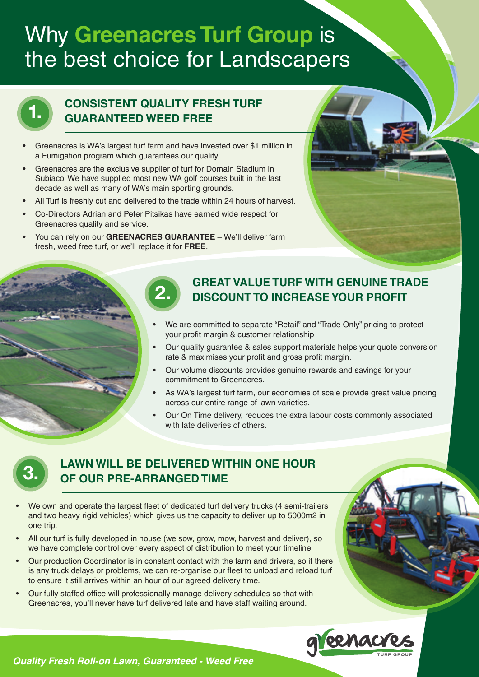# Why **Greenacres Turf Group** is the best choice for Landscapers



### **CONSISTENT QUALITY FRESH TURF GUARANTEED WEED FREE**

- Greenacres is WA's largest turf farm and have invested over \$1 million in a Fumigation program which guarantees our quality.
- Greenacres are the exclusive supplier of turf for Domain Stadium in Subiaco. We have supplied most new WA golf courses built in the last decade as well as many of WA's main sporting grounds.
- All Turf is freshly cut and delivered to the trade within 24 hours of harvest.
- Co-Directors Adrian and Peter Pitsikas have earned wide respect for Greenacres quality and service.
- You can rely on our GREENACRES GUARANTEE We'll deliver farm fresh, weed free turf, or we'll replace it for **FREE**.



- We are committed to separate "Retail" and "Trade Only" pricing to protect your profit margin & customer relationship
- Our quality quarantee & sales support materials helps your quote conversion rate & maximises your profit and gross profit margin.
- Our volume discounts provides genuine rewards and savings for your commitment to Greenacres.
- As WA's largest turf farm, our economies of scale provide great value pricing across our entire range of lawn varieties.
- Our On Time delivery, reduces the extra labour costs commonly associated with late deliveries of others.



#### **LAWN WILL BE DELIVERED WITHIN ONE HOUR OF OUR PRE-ARRANGED TIME**

- We own and operate the largest fleet of dedicated turf delivery trucks (4 semi-trailers and two heavy rigid vehicles) which gives us the capacity to deliver up to 5000m2 in one trip.
- All our turf is fully developed in house (we sow, grow, mow, harvest and deliver), so we have complete control over every aspect of distribution to meet your timeline.
- Our production Coordinator is in constant contact with the farm and drivers, so if there is any truck delays or problems, we can re-organise our fleet to unload and reload turf to ensure it still arrives within an hour of our agreed delivery time.
- Our fully staffed office will professionally manage delivery schedules so that with Greenacres, you'll never have turf delivered late and have staff waiting around.